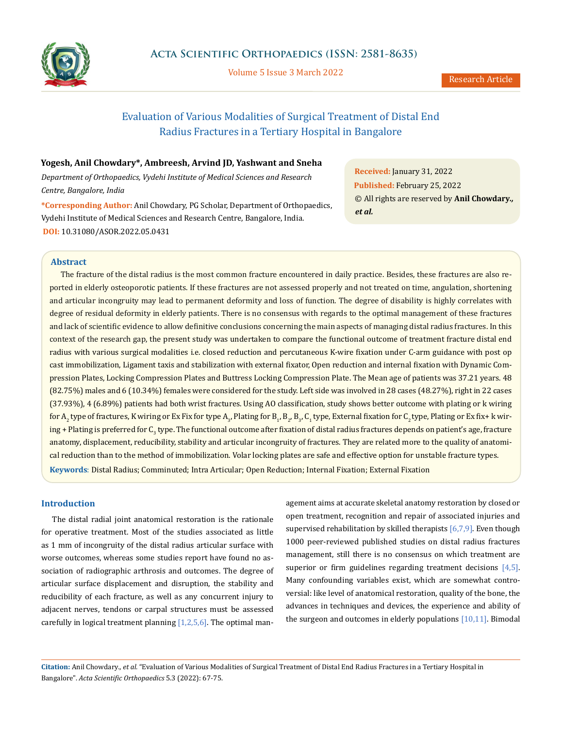

Volume 5 Issue 3 March 2022

# Evaluation of Various Modalities of Surgical Treatment of Distal End Radius Fractures in a Tertiary Hospital in Bangalore

## **Yogesh, Anil Chowdary\*, Ambreesh, Arvind JD, Yashwant and Sneha**

*Department of Orthopaedics, Vydehi Institute of Medical Sciences and Research Centre, Bangalore, India*

**\*Corresponding Author:** Anil Chowdary, PG Scholar, Department of Orthopaedics, Vydehi Institute of Medical Sciences and Research Centre, Bangalore, India. **DOI:** [10.31080/ASOR.2022.05.0431](https://actascientific.com/ASOR/pdf/ASOR-05-0431.pdf)

**Received:** January 31, 2022 **Published:** February 25, 2022 © All rights are reserved by **Anil Chowdary***., et al.* 

## **Abstract**

The fracture of the distal radius is the most common fracture encountered in daily practice. Besides, these fractures are also reported in elderly osteoporotic patients. If these fractures are not assessed properly and not treated on time, angulation, shortening and articular incongruity may lead to permanent deformity and loss of function. The degree of disability is highly correlates with degree of residual deformity in elderly patients. There is no consensus with regards to the optimal management of these fractures and lack of scientific evidence to allow definitive conclusions concerning the main aspects of managing distal radius fractures. In this context of the research gap, the present study was undertaken to compare the functional outcome of treatment fracture distal end radius with various surgical modalities i.e. closed reduction and percutaneous K-wire fixation under C-arm guidance with post op cast immobilization, Ligament taxis and stabilization with external fixator, Open reduction and internal fixation with Dynamic Compression Plates, Locking Compression Plates and Buttress Locking Compression Plate. The Mean age of patients was 37.21 years. 48 (82.75%) males and 6 (10.34%) females were considered for the study. Left side was involved in 28 cases (48.27%), right in 22 cases (37.93%), 4 (6.89%) patients had both wrist fractures. Using AO classification, study shows better outcome with plating or k wiring for A<sub>2</sub> type of fractures, K wiring or Ex Fix for type A<sub>3</sub>, Plating for B<sub>1</sub>, B<sub>2</sub>, B<sub>3</sub>, C<sub>1</sub> type, External fixation for C<sub>2</sub> type, Plating or Ex fix+ k wiring + Plating is preferred for C<sub>3</sub> type. The functional outcome after fixation of distal radius fractures depends on patient's age, fracture anatomy, displacement, reducibility, stability and articular incongruity of fractures. They are related more to the quality of anatomical reduction than to the method of immobilization. Volar locking plates are safe and effective option for unstable fracture types. **Keywords**: Distal Radius; Comminuted; Intra Articular; Open Reduction; Internal Fixation; External Fixation

## **Introduction**

The distal radial joint anatomical restoration is the rationale for operative treatment. Most of the studies associated as little as 1 mm of incongruity of the distal radius articular surface with worse outcomes, whereas some studies report have found no association of radiographic arthrosis and outcomes. The degree of articular surface displacement and disruption, the stability and reducibility of each fracture, as well as any concurrent injury to adjacent nerves, tendons or carpal structures must be assessed carefully in logical treatment planning  $[1,2,5,6]$ . The optimal management aims at accurate skeletal anatomy restoration by closed or open treatment, recognition and repair of associated injuries and supervised rehabilitation by skilled therapists  $[6,7,9]$ . Even though 1000 peer-reviewed published studies on distal radius fractures management, still there is no consensus on which treatment are superior or firm guidelines regarding treatment decisions [4,5]. Many confounding variables exist, which are somewhat controversial: like level of anatomical restoration, quality of the bone, the advances in techniques and devices, the experience and ability of the surgeon and outcomes in elderly populations [10,11]. Bimodal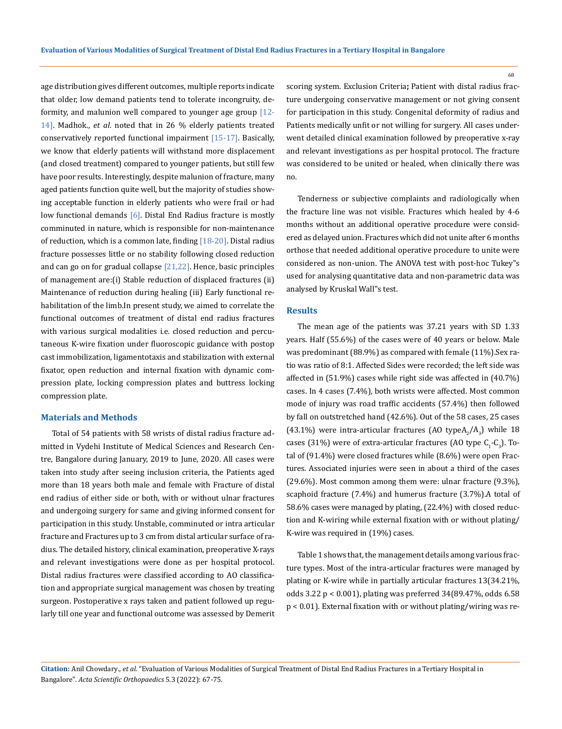age distribution gives different outcomes, multiple reports indicate that older, low demand patients tend to tolerate incongruity, deformity, and malunion well compared to younger age group  $[12-$ 14]. Madhok., *et al*. noted that in 26 % elderly patients treated conservatively reported functional impairment [15-17]. Basically, we know that elderly patients will withstand more displacement (and closed treatment) compared to younger patients, but still few have poor results. Interestingly, despite malunion of fracture, many aged patients function quite well, but the majority of studies showing acceptable function in elderly patients who were frail or had low functional demands [6]. Distal End Radius fracture is mostly comminuted in nature, which is responsible for non-maintenance of reduction, which is a common late, finding  $[18-20]$ . Distal radius fracture possesses little or no stability following closed reduction and can go on for gradual collapse  $[21,22]$ . Hence, basic principles of management are:(i) Stable reduction of displaced fractures (ii) Maintenance of reduction during healing (iii) Early functional rehabilitation of the limb.In present study, we aimed to correlate the functional outcomes of treatment of distal end radius fractures with various surgical modalities i.e. closed reduction and percutaneous K-wire fixation under fluoroscopic guidance with postop cast immobilization, ligamentotaxis and stabilization with external fixator, open reduction and internal fixation with dynamic compression plate, locking compression plates and buttress locking compression plate.

### **Materials and Methods**

Total of 54 patients with 58 wrists of distal radius fracture admitted in Vydehi Institute of Medical Sciences and Research Centre, Bangalore during January, 2019 to June, 2020. All cases were taken into study after seeing inclusion criteria, the Patients aged more than 18 years both male and female with Fracture of distal end radius of either side or both, with or without ulnar fractures and undergoing surgery for same and giving informed consent for participation in this study. Unstable, comminuted or intra articular fracture and Fractures up to 3 cm from distal articular surface of radius. The detailed history, clinical examination, preoperative X-rays and relevant investigations were done as per hospital protocol. Distal radius fractures were classified according to AO classification and appropriate surgical management was chosen by treating surgeon. Postoperative x rays taken and patient followed up regularly till one year and functional outcome was assessed by Demerit scoring system. Exclusion Criteria**;** Patient with distal radius fracture undergoing conservative management or not giving consent for participation in this study. Congenital deformity of radius and Patients medically unfit or not willing for surgery. All cases underwent detailed clinical examination followed by preoperative x-ray and relevant investigations as per hospital protocol. The fracture was considered to be united or healed, when clinically there was no.

Tenderness or subjective complaints and radiologically when the fracture line was not visible. Fractures which healed by 4-6 months without an additional operative procedure were considered as delayed union. Fractures which did not unite after 6 months orthose that needed additional operative procedure to unite were considered as non-union. The ANOVA test with post-hoc Tukey"s used for analysing quantitative data and non-parametric data was analysed by Kruskal Wall"s test.

#### **Results**

The mean age of the patients was 37.21 years with SD 1.33 years. Half (55.6%) of the cases were of 40 years or below. Male was predominant (88.9%) as compared with female (11%).Sex ratio was ratio of 8:1. Affected Sides were recorded; the left side was affected in (51.9%) cases while right side was affected in (40.7%) cases. In 4 cases (7.4%), both wrists were affected. Most common mode of injury was road traffic accidents (57.4%) then followed by fall on outstretched hand (42.6%). Out of the 58 cases, 25 cases (43.1%) were intra-articular fractures (AO type $A_2/A_3$ ) while 18 cases (31%) were of extra-articular fractures (AO type  $C_{1}$ - $C_{3}$ ). Total of (91.4%) were closed fractures while (8.6%) were open Fractures. Associated injuries were seen in about a third of the cases (29.6%). Most common among them were: ulnar fracture (9.3%), scaphoid fracture (7.4%) and humerus fracture (3.7%).A total of 58.6% cases were managed by plating, (22.4%) with closed reduction and K-wiring while external fixation with or without plating/ K-wire was required in (19%) cases.

Table 1 shows that, the management details among various fracture types. Most of the intra-articular fractures were managed by plating or K-wire while in partially articular fractures 13(34.21%, odds 3.22 p < 0.001), plating was preferred 34(89.47%, odds 6.58 p < 0.01). External fixation with or without plating/wiring was re-

**Citation:** Anil Chowdary*., et al.* "Evaluation of Various Modalities of Surgical Treatment of Distal End Radius Fractures in a Tertiary Hospital in Bangalore". *Acta Scientific Orthopaedics* 5.3 (2022): 67-75.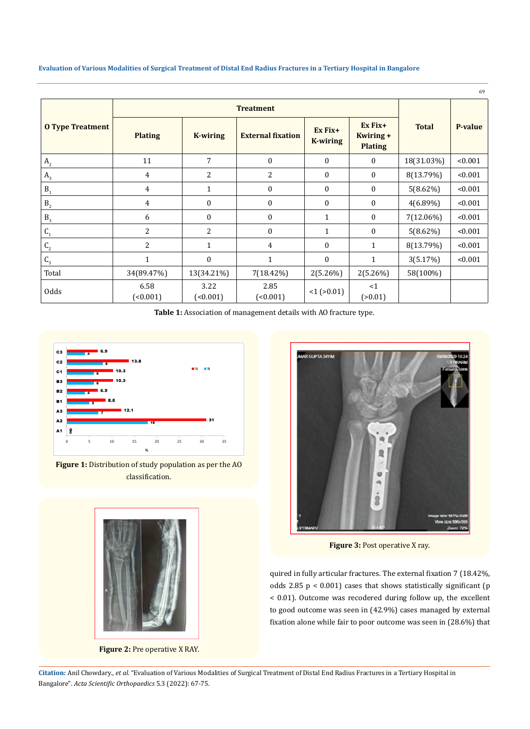**Evaluation of Various Modalities of Surgical Treatment of Distal End Radius Fractures in a Tertiary Hospital in Bangalore**

|                         |                  |                      |                          |                              |                                          |              | 69      |
|-------------------------|------------------|----------------------|--------------------------|------------------------------|------------------------------------------|--------------|---------|
| <b>O</b> Type Treatment | <b>Treatment</b> |                      |                          |                              |                                          |              |         |
|                         | <b>Plating</b>   | <b>K-wiring</b>      | <b>External fixation</b> | $Ex Fix+$<br><b>K-wiring</b> | $Ex Fix+$<br>Kwiring +<br><b>Plating</b> | <b>Total</b> | P-value |
| A <sub>2</sub>          | 11               | 7                    | $\mathbf{0}$             | $\theta$                     | $\mathbf{0}$                             | 18(31.03%)   | < 0.001 |
| $A_{3}$                 | 4                | 2                    | 2                        | $\mathbf{0}$                 | $\mathbf{0}$                             | 8(13.79%)    | < 0.001 |
| $B_1$                   | $\overline{4}$   | 1                    | $\boldsymbol{0}$         | $\mathbf{0}$                 | $\mathbf{0}$                             | $5(8.62\%)$  | < 0.001 |
| B <sub>2</sub>          | 4                | 0                    | $\boldsymbol{0}$         | $\mathbf{0}$                 | $\mathbf{0}$                             | $4(6.89\%)$  | < 0.001 |
| $\mathsf{B}_3$          | 6                | $\boldsymbol{0}$     | $\boldsymbol{0}$         | $\mathbf{1}$                 | $\mathbf{0}$                             | 7(12.06%)    | < 0.001 |
| $\mathsf{C}_\mathsf{1}$ | $\overline{2}$   | 2                    | $\boldsymbol{0}$         | $\mathbf 1$                  | $\mathbf{0}$                             | 5(8.62%)     | < 0.001 |
| $\mathsf{C}_2$          | 2                | $\mathbf{1}$         | 4                        | $\Omega$                     | $\mathbf{1}$                             | 8(13.79%)    | < 0.001 |
| $\mathsf{C}_\mathsf{3}$ | 1                | $\boldsymbol{0}$     | $\mathbf{1}$             | $\mathbf{0}$                 | 1                                        | 3(5.17%)     | < 0.001 |
| Total                   | 34(89.47%)       | 13(34.21%)           | 7(18.42%)                | $2(5.26\%)$                  | 2(5.26%)                                 | 58(100%)     |         |
| Odds                    | 6.58<br>(0.001)  | 3.22<br>$($ < 0.001) | 2.85<br>(0.001)          | $<1$ ( $>0.01$ )             | <1<br>(>0.01)                            |              |         |

**Table 1:** Association of management details with AO fracture type.



**Figure 1:** Distribution of study population as per the AO classification.



**Figure 2:** Pre operative X RAY.



**Figure 3: Post operative X ray.** 

quired in fully articular fractures. The external fixation 7 (18.42%, odds 2.85  $p < 0.001$ ) cases that shows statistically significant (p < 0.01). Outcome was recodered during follow up, the excellent to good outcome was seen in (42.9%) cases managed by external fixation alone while fair to poor outcome was seen in (28.6%) that

**Citation:** Anil Chowdary*., et al.* "Evaluation of Various Modalities of Surgical Treatment of Distal End Radius Fractures in a Tertiary Hospital in Bangalore". *Acta Scientific Orthopaedics* 5.3 (2022): 67-75.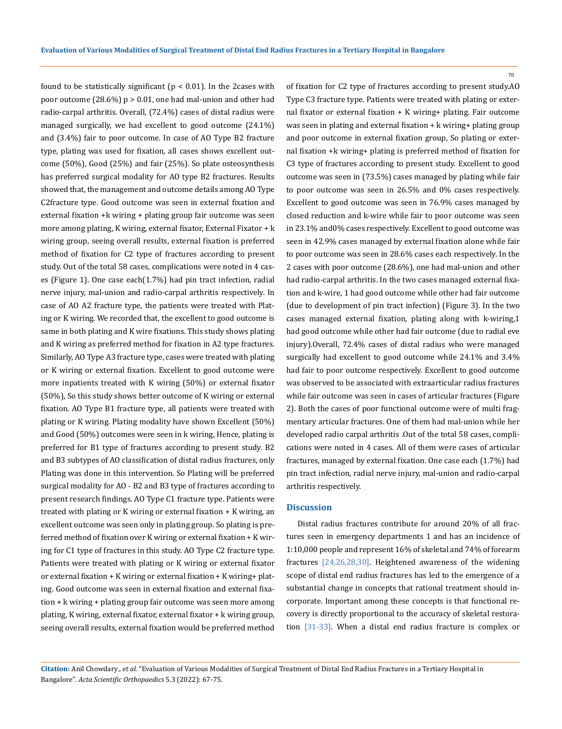found to be statistically significant  $(p < 0.01)$ . In the 2cases with poor outcome  $(28.6\%) p > 0.01$ , one had mal-union and other had radio-carpal arthritis. Overall, (72.4%) cases of distal radius were managed surgically, we had excellent to good outcome (24.1%) and (3.4%) fair to poor outcome. In case of AO Type B2 fracture type, plating was used for fixation, all cases shows excellent outcome (50%), Good (25%) and fair (25%). So plate osteosynthesis has preferred surgical modality for AO type B2 fractures. Results showed that, the management and outcome details among AO Type C2fracture type. Good outcome was seen in external fixation and external fixation +k wiring + plating group fair outcome was seen more among plating, K wiring, external fixator, External Fixator + k wiring group, seeing overall results, external fixation is preferred method of fixation for C2 type of fractures according to present study. Out of the total 58 cases, complications were noted in 4 cases (Figure 1). One case each(1.7%) had pin tract infection, radial nerve injury, mal-union and radio-carpal arthritis respectively. In case of AO A2 fracture type, the patients were treated with Plating or K wiring. We recorded that, the excellent to good outcome is same in both plating and K wire fixations. This study shows plating and K wiring as preferred method for fixation in A2 type fractures. Similarly, AO Type A3 fracture type, cases were treated with plating or K wiring or external fixation. Excellent to good outcome were more inpatients treated with K wiring (50%) or external fixator (50%), So this study shows better outcome of K wiring or external fixation. AO Type B1 fracture type, all patients were treated with plating or K wiring. Plating modality have shown Excellent (50%) and Good (50%) outcomes were seen in k wiring, Hence, plating is preferred for B1 type of fractures according to present study. B2 and B3 subtypes of AO classification of distal radius fractures, only Plating was done in this intervention. So Plating will be preferred surgical modality for AO - B2 and B3 type of fractures according to present research findings. AO Type C1 fracture type. Patients were treated with plating or K wiring or external fixation + K wiring, an excellent outcome was seen only in plating group. So plating is preferred method of fixation over K wiring or external fixation + K wiring for C1 type of fractures in this study. AO Type C2 fracture type. Patients were treated with plating or K wiring or external fixator or external fixation + K wiring or external fixation + K wiring+ plating. Good outcome was seen in external fixation and external fixation + k wiring + plating group fair outcome was seen more among plating, K wiring, external fixator, external fixator + k wiring group, seeing overall results, external fixation would be preferred method

of fixation for C2 type of fractures according to present study.AO Type C3 fracture type. Patients were treated with plating or external fixator or external fixation + K wiring+ plating. Fair outcome was seen in plating and external fixation + k wiring+ plating group and poor outcome in external fixation group, So plating or external fixation +k wiring+ plating is preferred method of fixation for C3 type of fractures according to present study. Excellent to good outcome was seen in (73.5%) cases managed by plating while fair to poor outcome was seen in 26.5% and 0% cases respectively. Excellent to good outcome was seen in 76.9% cases managed by closed reduction and k-wire while fair to poor outcome was seen in 23.1% and0% cases respectively. Excellent to good outcome was seen in 42.9% cases managed by external fixation alone while fair to poor outcome was seen in 28.6% cases each respectively. In the 2 cases with poor outcome (28.6%), one had mal-union and other had radio-carpal arthritis. In the two cases managed external fixation and k-wire, 1 had good outcome while other had fair outcome (due to development of pin tract infection) (Figure 3). In the two cases managed external fixation, plating along with k-wiring,1 had good outcome while other had fair outcome (due to radial eve injury).Overall, 72.4% cases of distal radius who were managed surgically had excellent to good outcome while 24.1% and 3.4% had fair to poor outcome respectively. Excellent to good outcome was observed to be associated with extraarticular radius fractures while fair outcome was seen in cases of articular fractures (Figure 2). Both the cases of poor functional outcome were of multi fragmentary articular fractures. One of them had mal-union while her developed radio carpal arthritis .Out of the total 58 cases, complications were noted in 4 cases. All of them were cases of articular fractures, managed by external fixation. One case each (1.7%) had pin tract infection, radial nerve injury, mal-union and radio-carpal arthritis respectively.

### **Discussion**

Distal radius fractures contribute for around 20% of all fractures seen in emergency departments 1 and has an incidence of 1:10,000 people and represent 16% of skeletal and 74% of forearm fractures [24,26,28,30]. Heightened awareness of the widening scope of distal end radius fractures has led to the emergence of a substantial change in concepts that rational treatment should incorporate. Important among these concepts is that functional recovery is directly proportional to the accuracy of skeletal restoration [31-33]. When a distal end radius fracture is complex or

**Citation:** Anil Chowdary*., et al.* "Evaluation of Various Modalities of Surgical Treatment of Distal End Radius Fractures in a Tertiary Hospital in Bangalore". *Acta Scientific Orthopaedics* 5.3 (2022): 67-75.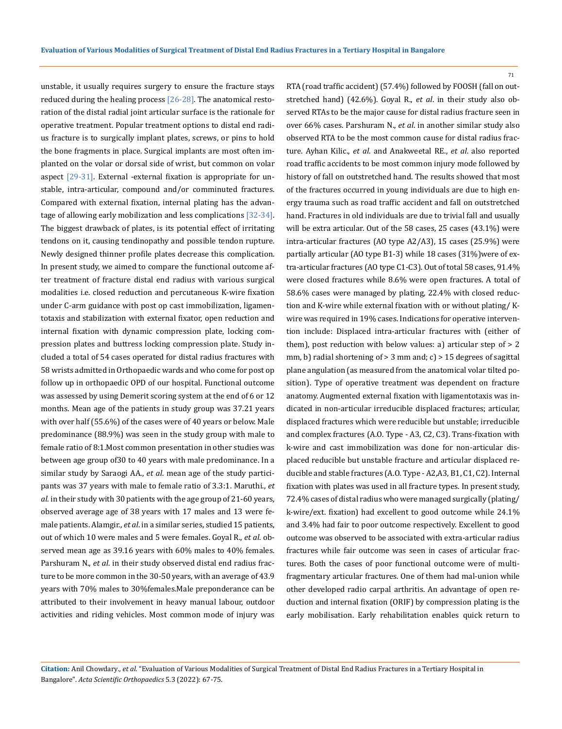71

unstable, it usually requires surgery to ensure the fracture stays reduced during the healing process  $[26-28]$ . The anatomical restoration of the distal radial joint articular surface is the rationale for operative treatment. Popular treatment options to distal end radius fracture is to surgically implant plates, screws, or pins to hold the bone fragments in place. Surgical implants are most often implanted on the volar or dorsal side of wrist, but common on volar aspect [29-31]. External -external fixation is appropriate for unstable, intra-articular, compound and/or comminuted fractures. Compared with external fixation, internal plating has the advantage of allowing early mobilization and less complications [32-34]. The biggest drawback of plates, is its potential effect of irritating tendons on it, causing tendinopathy and possible tendon rupture. Newly designed thinner profile plates decrease this complication. In present study, we aimed to compare the functional outcome after treatment of fracture distal end radius with various surgical modalities i.e. closed reduction and percutaneous K-wire fixation under C-arm guidance with post op cast immobilization, ligamentotaxis and stabilization with external fixator, open reduction and internal fixation with dynamic compression plate, locking compression plates and buttress locking compression plate. Study included a total of 54 cases operated for distal radius fractures with 58 wrists admitted in Orthopaedic wards and who come for post op follow up in orthopaedic OPD of our hospital. Functional outcome was assessed by using Demerit scoring system at the end of 6 or 12 months. Mean age of the patients in study group was 37.21 years with over half (55.6%) of the cases were of 40 years or below. Male predominance (88.9%) was seen in the study group with male to female ratio of 8:1.Most common presentation in other studies was between age group of30 to 40 years with male predominance. In a similar study by Saraogi AA., *et al*. mean age of the study participants was 37 years with male to female ratio of 3.3:1. Maruthi., *et al*. in their study with 30 patients with the age group of 21-60 years, observed average age of 38 years with 17 males and 13 were female patients. Alamgir., *et al*. in a similar series, studied 15 patients, out of which 10 were males and 5 were females. Goyal R., *et al*. observed mean age as 39.16 years with 60% males to 40% females. Parshuram N., *et al*. in their study observed distal end radius fracture to be more common in the 30-50 years, with an average of 43.9 years with 70% males to 30%females.Male preponderance can be attributed to their involvement in heavy manual labour, outdoor activities and riding vehicles. Most common mode of injury was

RTA (road traffic accident) (57.4%) followed by FOOSH (fall on outstretched hand) (42.6%). Goyal R., *et al*. in their study also observed RTAs to be the major cause for distal radius fracture seen in over 66% cases. Parshuram N., *et al*. in another similar study also observed RTA to be the most common cause for distal radius fracture. Ayhan Kilic., *et al*. and Anakweetal RE., *et al*. also reported road traffic accidents to be most common injury mode followed by history of fall on outstretched hand. The results showed that most of the fractures occurred in young individuals are due to high energy trauma such as road traffic accident and fall on outstretched hand. Fractures in old individuals are due to trivial fall and usually will be extra articular. Out of the 58 cases, 25 cases (43.1%) were intra-articular fractures (AO type A2/A3), 15 cases (25.9%) were partially articular (AO type B1-3) while 18 cases (31%) were of extra-articular fractures (AO type C1-C3). Out of total 58 cases, 91.4% were closed fractures while 8.6% were open fractures. A total of 58.6% cases were managed by plating, 22.4% with closed reduction and K-wire while external fixation with or without plating/ Kwire was required in 19% cases. Indications for operative intervention include: Displaced intra-articular fractures with (either of them), post reduction with below values: a) articular step of > 2 mm, b) radial shortening of  $> 3$  mm and; c)  $> 15$  degrees of sagittal plane angulation (as measured from the anatomical volar tilted position). Type of operative treatment was dependent on fracture anatomy. Augmented external fixation with ligamentotaxis was indicated in non-articular irreducible displaced fractures; articular, displaced fractures which were reducible but unstable; irreducible and complex fractures (A.O. Type - A3, C2, C3). Trans-fixation with k-wire and cast immobilization was done for non-articular displaced reducible but unstable fracture and articular displaced reducible and stable fractures (A.O. Type - A2,A3, B1, C1, C2). Internal fixation with plates was used in all fracture types. In present study, 72.4% cases of distal radius who were managed surgically (plating/ k-wire/ext. fixation) had excellent to good outcome while 24.1% and 3.4% had fair to poor outcome respectively. Excellent to good outcome was observed to be associated with extra-articular radius fractures while fair outcome was seen in cases of articular fractures. Both the cases of poor functional outcome were of multifragmentary articular fractures. One of them had mal-union while other developed radio carpal arthritis. An advantage of open reduction and internal fixation (ORIF) by compression plating is the early mobilisation. Early rehabilitation enables quick return to

**Citation:** Anil Chowdary*., et al.* "Evaluation of Various Modalities of Surgical Treatment of Distal End Radius Fractures in a Tertiary Hospital in Bangalore". *Acta Scientific Orthopaedics* 5.3 (2022): 67-75.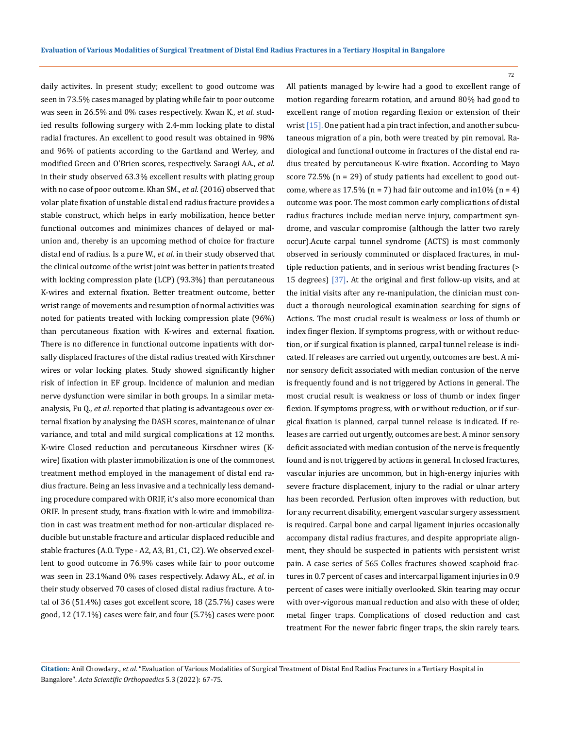daily activites. In present study; excellent to good outcome was seen in 73.5% cases managed by plating while fair to poor outcome was seen in 26.5% and 0% cases respectively. Kwan K., *et al*. studied results following surgery with 2.4-mm locking plate to distal radial fractures. An excellent to good result was obtained in 98% and 96% of patients according to the Gartland and Werley, and modified Green and O'Brien scores, respectively. Saraogi AA., *et al*. in their study observed 63.3% excellent results with plating group with no case of poor outcome. Khan SM., *et al*. (2016) observed that volar plate fixation of unstable distal end radius fracture provides a stable construct, which helps in early mobilization, hence better functional outcomes and minimizes chances of delayed or malunion and, thereby is an upcoming method of choice for fracture distal end of radius. Is a pure W., *et al*. in their study observed that the clinical outcome of the wrist joint was better in patients treated with locking compression plate (LCP) (93.3%) than percutaneous K-wires and external fixation. Better treatment outcome, better wrist range of movements and resumption of normal activities was noted for patients treated with locking compression plate (96%) than percutaneous fixation with K-wires and external fixation. There is no difference in functional outcome inpatients with dorsally displaced fractures of the distal radius treated with Kirschner wires or volar locking plates. Study showed significantly higher risk of infection in EF group. Incidence of malunion and median nerve dysfunction were similar in both groups. In a similar metaanalysis, Fu Q., *et al*. reported that plating is advantageous over external fixation by analysing the DASH scores, maintenance of ulnar variance, and total and mild surgical complications at 12 months. K-wire Closed reduction and percutaneous Kirschner wires (Kwire) fixation with plaster immobilization is one of the commonest treatment method employed in the management of distal end radius fracture. Being an less invasive and a technically less demanding procedure compared with ORIF, it's also more economical than ORIF. In present study, trans-fixation with k-wire and immobilization in cast was treatment method for non-articular displaced reducible but unstable fracture and articular displaced reducible and stable fractures (A.O. Type - A2, A3, B1, C1, C2). We observed excellent to good outcome in 76.9% cases while fair to poor outcome was seen in 23.1%and 0% cases respectively. Adawy AL., *et al*. in their study observed 70 cases of closed distal radius fracture. A total of 36 (51.4%) cases got excellent score, 18 (25.7%) cases were good, 12 (17.1%) cases were fair, and four (5.7%) cases were poor.

All patients managed by k-wire had a good to excellent range of motion regarding forearm rotation, and around 80% had good to excellent range of motion regarding flexion or extension of their wrist [15]. One patient had a pin tract infection, and another subcutaneous migration of a pin, both were treated by pin removal. Radiological and functional outcome in fractures of the distal end radius treated by percutaneous K-wire fixation. According to Mayo score 72.5% (n = 29) of study patients had excellent to good outcome, where as  $17.5\%$  (n = 7) had fair outcome and in 10% (n = 4) outcome was poor. The most common early complications of distal radius fractures include median nerve injury, compartment syndrome, and vascular compromise (although the latter two rarely occur).Acute carpal tunnel syndrome (ACTS) is most commonly observed in seriously comminuted or displaced fractures, in multiple reduction patients, and in serious wrist bending fractures (> 15 degrees) [37]**.** At the original and first follow-up visits, and at the initial visits after any re-manipulation, the clinician must conduct a thorough neurological examination searching for signs of Actions. The most crucial result is weakness or loss of thumb or index finger flexion. If symptoms progress, with or without reduction, or if surgical fixation is planned, carpal tunnel release is indicated. If releases are carried out urgently, outcomes are best. A minor sensory deficit associated with median contusion of the nerve is frequently found and is not triggered by Actions in general. The most crucial result is weakness or loss of thumb or index finger flexion. If symptoms progress, with or without reduction, or if surgical fixation is planned, carpal tunnel release is indicated. If releases are carried out urgently, outcomes are best. A minor sensory deficit associated with median contusion of the nerve is frequently found and is not triggered by actions in general. In closed fractures, vascular injuries are uncommon, but in high-energy injuries with severe fracture displacement, injury to the radial or ulnar artery has been recorded. Perfusion often improves with reduction, but for any recurrent disability, emergent vascular surgery assessment is required. Carpal bone and carpal ligament injuries occasionally accompany distal radius fractures, and despite appropriate alignment, they should be suspected in patients with persistent wrist pain. A case series of 565 Colles fractures showed scaphoid fractures in 0.7 percent of cases and intercarpal ligament injuries in 0.9 percent of cases were initially overlooked. Skin tearing may occur with over-vigorous manual reduction and also with these of older, metal finger traps. Complications of closed reduction and cast treatment For the newer fabric finger traps, the skin rarely tears.

**Citation:** Anil Chowdary*., et al.* "Evaluation of Various Modalities of Surgical Treatment of Distal End Radius Fractures in a Tertiary Hospital in Bangalore". *Acta Scientific Orthopaedics* 5.3 (2022): 67-75.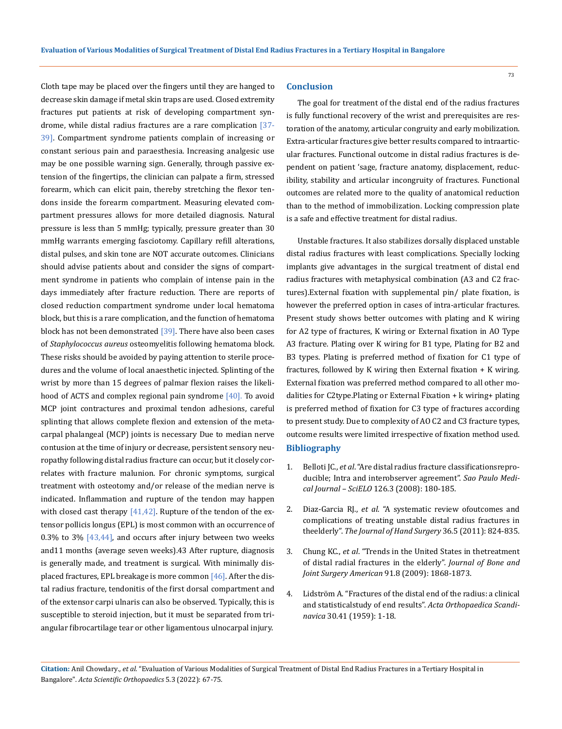Cloth tape may be placed over the fingers until they are hanged to decrease skin damage if metal skin traps are used. Closed extremity fractures put patients at risk of developing compartment syndrome, while distal radius fractures are a rare complication [37-39]. Compartment syndrome patients complain of increasing or constant serious pain and paraesthesia. Increasing analgesic use may be one possible warning sign. Generally, through passive extension of the fingertips, the clinician can palpate a firm, stressed forearm, which can elicit pain, thereby stretching the flexor tendons inside the forearm compartment. Measuring elevated compartment pressures allows for more detailed diagnosis. Natural pressure is less than 5 mmHg; typically, pressure greater than 30 mmHg warrants emerging fasciotomy. Capillary refill alterations, distal pulses, and skin tone are NOT accurate outcomes. Clinicians should advise patients about and consider the signs of compartment syndrome in patients who complain of intense pain in the days immediately after fracture reduction. There are reports of closed reduction compartment syndrome under local hematoma block, but this is a rare complication, and the function of hematoma block has not been demonstrated  $[39]$ . There have also been cases of *Staphylococcus aureus* osteomyelitis following hematoma block. These risks should be avoided by paying attention to sterile procedures and the volume of local anaesthetic injected. Splinting of the wrist by more than 15 degrees of palmar flexion raises the likelihood of ACTS and complex regional pain syndrome  $[40]$ . To avoid MCP joint contractures and proximal tendon adhesions, careful splinting that allows complete flexion and extension of the metacarpal phalangeal (MCP) joints is necessary Due to median nerve contusion at the time of injury or decrease, persistent sensory neuropathy following distal radius fracture can occur, but it closely correlates with fracture malunion. For chronic symptoms, surgical treatment with osteotomy and/or release of the median nerve is indicated. Inflammation and rupture of the tendon may happen with closed cast therapy  $[41, 42]$ . Rupture of the tendon of the extensor pollicis longus (EPL) is most common with an occurrence of 0.3% to 3%  $[43,44]$ , and occurs after injury between two weeks and11 months (average seven weeks).43 After rupture, diagnosis is generally made, and treatment is surgical. With minimally displaced fractures, EPL breakage is more common [46]. After the distal radius fracture, tendonitis of the first dorsal compartment and of the extensor carpi ulnaris can also be observed. Typically, this is susceptible to steroid injection, but it must be separated from triangular fibrocartilage tear or other ligamentous ulnocarpal injury.

#### **Conclusion**

The goal for treatment of the distal end of the radius fractures is fully functional recovery of the wrist and prerequisites are restoration of the anatomy, articular congruity and early mobilization. Extra-articular fractures give better results compared to intraarticular fractures. Functional outcome in distal radius fractures is dependent on patient 'sage, fracture anatomy, displacement, reducibility, stability and articular incongruity of fractures. Functional outcomes are related more to the quality of anatomical reduction than to the method of immobilization. Locking compression plate is a safe and effective treatment for distal radius.

Unstable fractures. It also stabilizes dorsally displaced unstable distal radius fractures with least complications. Specially locking implants give advantages in the surgical treatment of distal end radius fractures with metaphysical combination (A3 and C2 fractures).External fixation with supplemental pin/ plate fixation, is however the preferred option in cases of intra-articular fractures. Present study shows better outcomes with plating and K wiring for A2 type of fractures, K wiring or External fixation in AO Type A3 fracture. Plating over K wiring for B1 type, Plating for B2 and B3 types. Plating is preferred method of fixation for C1 type of fractures, followed by K wiring then External fixation + K wiring. External fixation was preferred method compared to all other modalities for C2type.Plating or External Fixation + k wiring+ plating is preferred method of fixation for C3 type of fractures according to present study. Due to complexity of AO C2 and C3 fracture types, outcome results were limited irrespective of fixation method used. **Bibliography**

- 1. Belloti JC., *et al*[. "Are distal radius fracture classificationsrepro](https://pubmed.ncbi.nlm.nih.gov/18711658/)[ducible; Intra and interobserver agreement".](https://pubmed.ncbi.nlm.nih.gov/18711658/) *Sao Paulo Medical Journal – SciELO* [126.3 \(2008\): 180-185.](https://pubmed.ncbi.nlm.nih.gov/18711658/)
- 2. Diaz-Garcia RJ., *et al*[. "A systematic review ofoutcomes and](https://pubmed.ncbi.nlm.nih.gov/21527140/)  [complications of treating unstable distal radius fractures in](https://pubmed.ncbi.nlm.nih.gov/21527140/)  theelderly". *[The Journal of Hand Surgery](https://pubmed.ncbi.nlm.nih.gov/21527140/)* 36.5 (2011): 824-835.
- 3. Chung KC., *et al*[. "Trends in the United States in thetreatment](https://www.ncbi.nlm.nih.gov/pmc/articles/PMC2714808/)  [of distal radial fractures in the elderly".](https://www.ncbi.nlm.nih.gov/pmc/articles/PMC2714808/) *Journal of Bone and [Joint Surgery American](https://www.ncbi.nlm.nih.gov/pmc/articles/PMC2714808/)* 91.8 (2009): 1868-1873.
- 4. [Lidström A. "Fractures of the distal end of the radius: a clinical](https://pubmed.ncbi.nlm.nih.gov/14416798/)  [and statisticalstudy of end results".](https://pubmed.ncbi.nlm.nih.gov/14416798/) *Acta Orthopaedica Scandinavica* [30.41 \(1959\): 1-18.](https://pubmed.ncbi.nlm.nih.gov/14416798/)

**Citation:** Anil Chowdary*., et al.* "Evaluation of Various Modalities of Surgical Treatment of Distal End Radius Fractures in a Tertiary Hospital in Bangalore". *Acta Scientific Orthopaedics* 5.3 (2022): 67-75.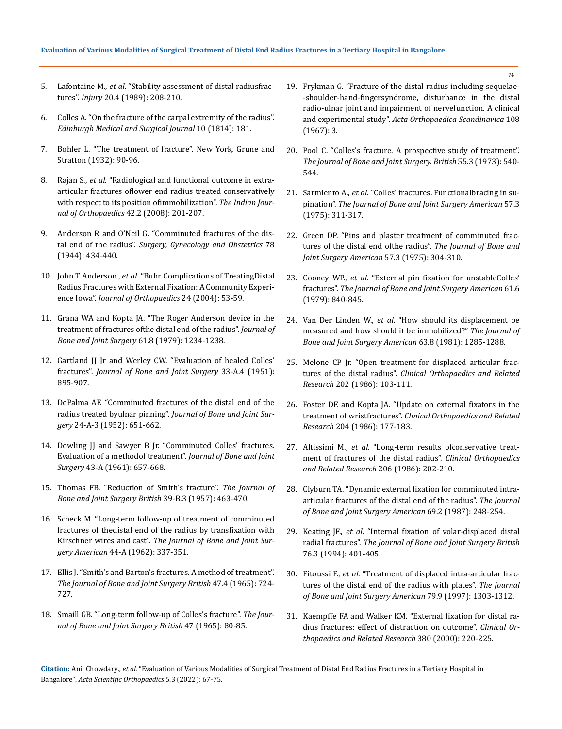### **Evaluation of Various Modalities of Surgical Treatment of Distal End Radius Fractures in a Tertiary Hospital in Bangalore**

- 5. Lafontaine M., *et al*[. "Stability assessment of distal radiusfrac](https://pubmed.ncbi.nlm.nih.gov/2592094/)tures". *Injury* [20.4 \(1989\): 208-210.](https://pubmed.ncbi.nlm.nih.gov/2592094/)
- 6. [Colles A. "On the fracture of the carpal extremity of the radius".](https://www.ncbi.nlm.nih.gov/pmc/articles/PMC5743240/)  *[Edinburgh Medical and Surgical Journal](https://www.ncbi.nlm.nih.gov/pmc/articles/PMC5743240/)* 10 (1814): 181.
- 7. Bohler L. "The treatment of fracture". New York, Grune and Stratton (1932): 90-96.
- 8. Rajan S., *et al*[. "Radiological and functional outcome in extra](https://pubmed.ncbi.nlm.nih.gov/19826528/)[articular fractures oflower end radius treated conservatively](https://pubmed.ncbi.nlm.nih.gov/19826528/)  [with respect to its position ofimmobilization".](https://pubmed.ncbi.nlm.nih.gov/19826528/) *The Indian Jour[nal of Orthopaedics](https://pubmed.ncbi.nlm.nih.gov/19826528/)* 42.2 (2008): 201-207.
- 9. [Anderson R and O'Neil G. "Comminuted fractures of the dis](https://pubmed.ncbi.nlm.nih.gov/5942809/)tal end of the radius". *[Surgery, Gynecology and Obstetrics](https://pubmed.ncbi.nlm.nih.gov/5942809/)* 78 [\(1944\): 434-440.](https://pubmed.ncbi.nlm.nih.gov/5942809/)
- 10. John T Anderson., *et al*[. "Buhr Complications of TreatingDistal](https://www.ncbi.nlm.nih.gov/pmc/articles/PMC1888410/)  [Radius Fractures with External Fixation: A Community Experi](https://www.ncbi.nlm.nih.gov/pmc/articles/PMC1888410/)ence Iowa". *[Journal of Orthopaedics](https://www.ncbi.nlm.nih.gov/pmc/articles/PMC1888410/)* 24 (2004): 53-59.
- 11. [Grana WA and Kopta JA. "The Roger Anderson device in the](https://pubmed.ncbi.nlm.nih.gov/511884/)  [treatment of fractures ofthe distal end of the radius".](https://pubmed.ncbi.nlm.nih.gov/511884/) *Journal of [Bone and Joint Surgery](https://pubmed.ncbi.nlm.nih.gov/511884/)* 61.8 (1979): 1234-1238.
- 12. [Gartland JJ Jr and Werley CW. "Evaluation of healed Colles'](https://pubmed.ncbi.nlm.nih.gov/14880544/)  fractures". *[Journal of Bone and Joint Surgery](https://pubmed.ncbi.nlm.nih.gov/14880544/)* 33-A.4 (1951): [895-907.](https://pubmed.ncbi.nlm.nih.gov/14880544/)
- 13. [DePalma AF. "Comminuted fractures of the distal end of the](https://pubmed.ncbi.nlm.nih.gov/14946217/)  radius treated byulnar pinning". *[Journal of Bone and Joint Sur](https://pubmed.ncbi.nlm.nih.gov/14946217/)gery* [24-A-3 \(1952\): 651-662.](https://pubmed.ncbi.nlm.nih.gov/14946217/)
- 14. [Dowling JJ and Sawyer B Jr. "Comminuted Colles' fractures.](https://pubmed.ncbi.nlm.nih.gov/13724153/)  [Evaluation of a methodof treatment".](https://pubmed.ncbi.nlm.nih.gov/13724153/) *Journal of Bone and Joint Surgery* [43-A \(1961\): 657-668.](https://pubmed.ncbi.nlm.nih.gov/13724153/)
- 15. [Thomas FB. "Reduction of Smith's fracture".](https://pubmed.ncbi.nlm.nih.gov/13463033/) *The Journal of [Bone and Joint Surgery British](https://pubmed.ncbi.nlm.nih.gov/13463033/)* 39-B.3 (1957): 463-470.
- 16. [Scheck M. "Long-term follow-up of treatment of comminuted](https://pubmed.ncbi.nlm.nih.gov/14039000/)  [fractures of thedistal end of the radius by transfixation with](https://pubmed.ncbi.nlm.nih.gov/14039000/)  Kirschner wires and cast". *[The Journal of Bone and Joint Sur](https://pubmed.ncbi.nlm.nih.gov/14039000/)gery American* [44-A \(1962\): 337-351.](https://pubmed.ncbi.nlm.nih.gov/14039000/)
- 17. [Ellis J. "Smith's and Barton's fractures. A method of treatment".](https://pubmed.ncbi.nlm.nih.gov/5846774/)  *[The Journal of Bone and Joint Surgery British](https://pubmed.ncbi.nlm.nih.gov/5846774/)* 47.4 (1965): 724- [727.](https://pubmed.ncbi.nlm.nih.gov/5846774/)
- 18. [Smaill GB. "Long-term follow-up of Colles's fracture".](https://pubmed.ncbi.nlm.nih.gov/14296250/) *The Jour[nal of Bone and Joint Surgery British](https://pubmed.ncbi.nlm.nih.gov/14296250/)* 47 (1965): 80-85.
- 19. [Frykman G. "Fracture of the distal radius including sequelae-](https://pubmed.ncbi.nlm.nih.gov/4175195/) [-shoulder-hand-fingersyndrome, disturbance in the distal](https://pubmed.ncbi.nlm.nih.gov/4175195/)  [radio-ulnar joint and impairment of nervefunction. A clinical](https://pubmed.ncbi.nlm.nih.gov/4175195/)  and experimental study". *[Acta Orthopaedica Scandinavica](https://pubmed.ncbi.nlm.nih.gov/4175195/)* 108 [\(1967\): 3.](https://pubmed.ncbi.nlm.nih.gov/4175195/)
- 20. [Pool C. "Colles's fracture. A prospective study of treatment".](https://pubmed.ncbi.nlm.nih.gov/4125714/)  *[The Journal of Bone and Joint Surgery. British](https://pubmed.ncbi.nlm.nih.gov/4125714/)* 55.3 (1973): 540- [544.](https://pubmed.ncbi.nlm.nih.gov/4125714/)
- 21. Sarmiento A., *et al*[. "Colles' fractures. Functionalbracing in su](https://pubmed.ncbi.nlm.nih.gov/1123382/)pination". *[The Journal of Bone and Joint Surgery American](https://pubmed.ncbi.nlm.nih.gov/1123382/)* 57.3 [\(1975\): 311-317.](https://pubmed.ncbi.nlm.nih.gov/1123382/)
- 22. [Green DP. "Pins and plaster treatment of comminuted frac](https://pubmed.ncbi.nlm.nih.gov/1123381/)[tures of the distal end ofthe radius".](https://pubmed.ncbi.nlm.nih.gov/1123381/) *The Journal of Bone and [Joint Surgery American](https://pubmed.ncbi.nlm.nih.gov/1123381/)* 57.3 (1975): 304-310.
- 23. Cooney WP., *et al*[. "External pin fixation for unstableColles'](https://pubmed.ncbi.nlm.nih.gov/479230/)  fractures". *[The Journal of Bone and Joint Surgery American](https://pubmed.ncbi.nlm.nih.gov/479230/)* 61.6 [\(1979\): 840-845.](https://pubmed.ncbi.nlm.nih.gov/479230/)
- 24. Van Der Linden W., *et al*[. "How should its displacement be](https://pubmed.ncbi.nlm.nih.gov/7287798/)  [measured and how should it be immobilized?"](https://pubmed.ncbi.nlm.nih.gov/7287798/) *The Journal of [Bone and Joint Surgery American](https://pubmed.ncbi.nlm.nih.gov/7287798/)* 63.8 (1981): 1285-1288.
- 25. [Melone CP Jr. "Open treatment for displaced articular frac](https://pubmed.ncbi.nlm.nih.gov/3955936/)tures of the distal radius". *[Clinical Orthopaedics and Related](https://pubmed.ncbi.nlm.nih.gov/3955936/)  Research* [202 \(1986\): 103-111.](https://pubmed.ncbi.nlm.nih.gov/3955936/)
- 26. [Foster DE and Kopta JA. "Update on external fixators in the](https://pubmed.ncbi.nlm.nih.gov/3956008/)  treatment of wristfractures". *[Clinical Orthopaedics and Related](https://pubmed.ncbi.nlm.nih.gov/3956008/)  Research* [204 \(1986\): 177-183.](https://pubmed.ncbi.nlm.nih.gov/3956008/)
- 27. Altissimi M., *et al*[. "Long-term results ofconservative treat](https://pubmed.ncbi.nlm.nih.gov/3708976/)[ment of fractures of the distal radius".](https://pubmed.ncbi.nlm.nih.gov/3708976/) *Clinical Orthopaedics [and Related Research](https://pubmed.ncbi.nlm.nih.gov/3708976/)* 206 (1986): 202-210.
- 28. [Clyburn TA. "Dynamic external fixation for comminuted intra](https://pubmed.ncbi.nlm.nih.gov/3805086/)[articular fractures of the distal end of the radius".](https://pubmed.ncbi.nlm.nih.gov/3805086/) *The Journal [of Bone and Joint Surgery American](https://pubmed.ncbi.nlm.nih.gov/3805086/)* 69.2 (1987): 248-254.
- 29. Keating JF., *et al*[. "Internal fixation of volar-displaced distal](https://pubmed.ncbi.nlm.nih.gov/8175841/)  radial fractures". *[The Journal of Bone and Joint Surgery British](https://pubmed.ncbi.nlm.nih.gov/8175841/)* [76.3 \(1994\): 401-405.](https://pubmed.ncbi.nlm.nih.gov/8175841/)
- 30. Fitoussi F., *et al*[. "Treatment of displaced intra-articular frac](https://pubmed.ncbi.nlm.nih.gov/9314392/)[tures of the distal end of the radius with plates".](https://pubmed.ncbi.nlm.nih.gov/9314392/) *The Journal [of Bone and Joint Surgery American](https://pubmed.ncbi.nlm.nih.gov/9314392/)* 79.9 (1997): 1303-1312.
- 31. [Kaempffe FA and Walker KM. "External fixation for distal ra](https://pubmed.ncbi.nlm.nih.gov/11064995/)[dius fractures: effect of distraction on outcome".](https://pubmed.ncbi.nlm.nih.gov/11064995/) *Clinical Or[thopaedics and Related Research](https://pubmed.ncbi.nlm.nih.gov/11064995/)* 380 (2000): 220-225.

**Citation:** Anil Chowdary*., et al.* "Evaluation of Various Modalities of Surgical Treatment of Distal End Radius Fractures in a Tertiary Hospital in Bangalore". *Acta Scientific Orthopaedics* 5.3 (2022): 67-75.